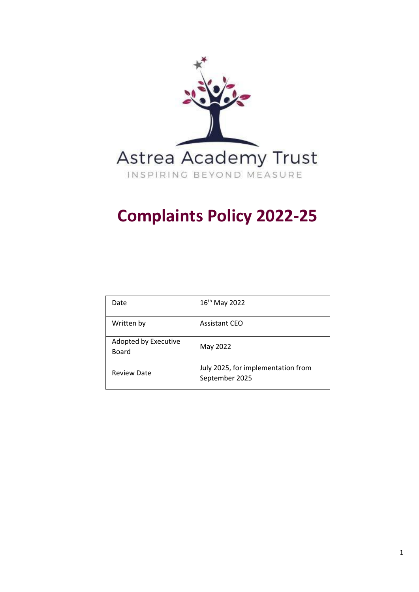

# **Complaints Policy 2022-25**

| Date                          | 16 <sup>th</sup> May 2022                            |
|-------------------------------|------------------------------------------------------|
| Written by                    | <b>Assistant CEO</b>                                 |
| Adopted by Executive<br>Board | May 2022                                             |
| <b>Review Date</b>            | July 2025, for implementation from<br>September 2025 |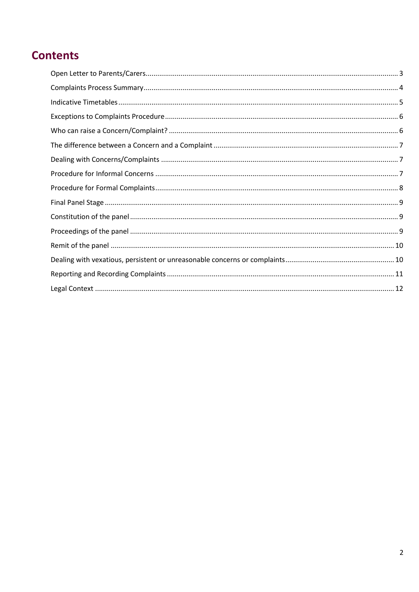# **Contents**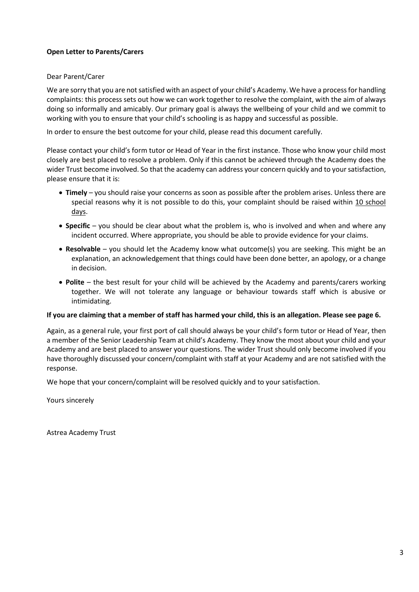#### <span id="page-2-0"></span>**Open Letter to Parents/Carers**

#### Dear Parent/Carer

We are sorry that you are not satisfied with an aspect of your child's Academy. We have a process for handling complaints: this process sets out how we can work together to resolve the complaint, with the aim of always doing so informally and amicably. Our primary goal is always the wellbeing of your child and we commit to working with you to ensure that your child's schooling is as happy and successful as possible.

In order to ensure the best outcome for your child, please read this document carefully.

Please contact your child's form tutor or Head of Year in the first instance. Those who know your child most closely are best placed to resolve a problem. Only if this cannot be achieved through the Academy does the wider Trust become involved. So that the academy can address your concern quickly and to your satisfaction, please ensure that it is:

- **Timely**  you should raise your concerns as soon as possible after the problem arises. Unless there are special reasons why it is not possible to do this, your complaint should be raised within 10 school days.
- **Specific** you should be clear about what the problem is, who is involved and when and where any incident occurred. Where appropriate, you should be able to provide evidence for your claims.
- **Resolvable**  you should let the Academy know what outcome(s) you are seeking. This might be an explanation, an acknowledgement that things could have been done better, an apology, or a change in decision.
- **Polite**  the best result for your child will be achieved by the Academy and parents/carers working together. We will not tolerate any language or behaviour towards staff which is abusive or intimidating.

#### **If you are claiming that a member of staff has harmed your child, this is an allegation. Please see page 6.**

Again, as a general rule, your first port of call should always be your child's form tutor or Head of Year, then a member of the Senior Leadership Team at child's Academy. They know the most about your child and your Academy and are best placed to answer your questions. The wider Trust should only become involved if you have thoroughly discussed your concern/complaint with staff at your Academy and are not satisfied with the response.

We hope that your concern/complaint will be resolved quickly and to your satisfaction.

Yours sincerely

Astrea Academy Trust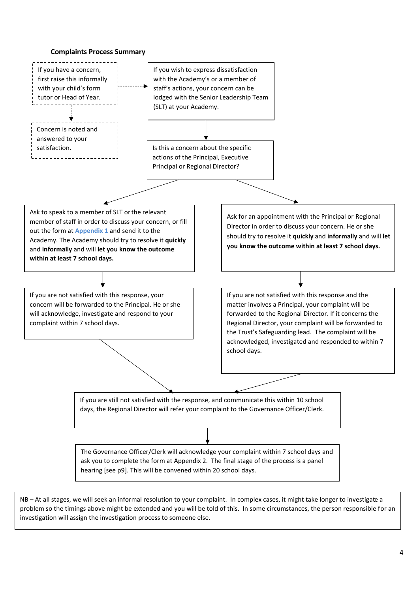

<span id="page-3-0"></span>

NB – At all stages, we will seek an informal resolution to your complaint. In complex cases, it might take longer to investigate a problem so the timings above might be extended and you will be told of this. In some circumstances, the person responsible for an investigation will assign the investigation process to someone else.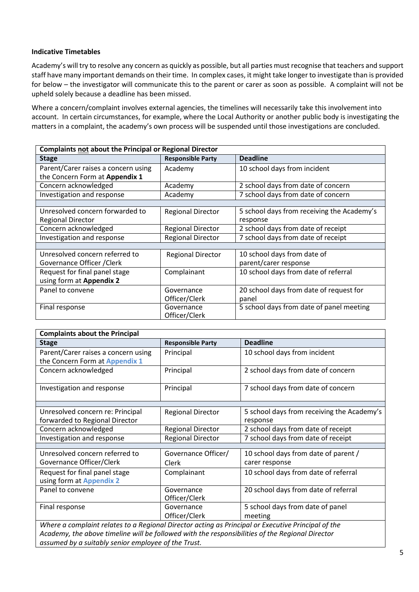#### <span id="page-4-0"></span>**Indicative Timetables**

Academy's will try to resolve any concern as quickly as possible, but all parties must recognise that teachers and support staff have many important demands on their time. In complex cases, it might take longer to investigate than is provided for below – the investigator will communicate this to the parent or carer as soon as possible. A complaint will not be upheld solely because a deadline has been missed.

Where a concern/complaint involves external agencies, the timelines will necessarily take this involvement into account. In certain circumstances, for example, where the Local Authority or another public body is investigating the matters in a complaint, the academy's own process will be suspended until those investigations are concluded.

| <b>Complaints not about the Principal or Regional Director</b> |                          |                                            |
|----------------------------------------------------------------|--------------------------|--------------------------------------------|
| <b>Stage</b>                                                   | <b>Responsible Party</b> | <b>Deadline</b>                            |
| Parent/Carer raises a concern using                            | Academy                  | 10 school days from incident               |
| the Concern Form at Appendix 1                                 |                          |                                            |
| Concern acknowledged                                           | Academy                  | 2 school days from date of concern         |
| Investigation and response                                     | Academy                  | 7 school days from date of concern         |
|                                                                |                          |                                            |
| Unresolved concern forwarded to                                | <b>Regional Director</b> | 5 school days from receiving the Academy's |
| <b>Regional Director</b>                                       |                          | response                                   |
| Concern acknowledged                                           | <b>Regional Director</b> | 2 school days from date of receipt         |
| Investigation and response                                     | <b>Regional Director</b> | 7 school days from date of receipt         |
|                                                                |                          |                                            |
| Unresolved concern referred to                                 | <b>Regional Director</b> | 10 school days from date of                |
| Governance Officer / Clerk                                     |                          | parent/carer response                      |
| Request for final panel stage                                  | Complainant              | 10 school days from date of referral       |
| using form at Appendix 2                                       |                          |                                            |
| Panel to convene                                               | Governance               | 20 school days from date of request for    |
|                                                                | Officer/Clerk            | panel                                      |
| Final response                                                 | Governance               | 5 school days from date of panel meeting   |
|                                                                | Officer/Clerk            |                                            |

| <b>Complaints about the Principal</b>                                                              |                          |                                            |
|----------------------------------------------------------------------------------------------------|--------------------------|--------------------------------------------|
| <b>Stage</b>                                                                                       | <b>Responsible Party</b> | <b>Deadline</b>                            |
| Parent/Carer raises a concern using                                                                | Principal                | 10 school days from incident               |
| the Concern Form at Appendix 1                                                                     |                          |                                            |
| Concern acknowledged                                                                               | Principal                | 2 school days from date of concern         |
|                                                                                                    |                          |                                            |
| Investigation and response                                                                         | Principal                | 7 school days from date of concern         |
|                                                                                                    |                          |                                            |
| Unresolved concern re: Principal                                                                   | <b>Regional Director</b> | 5 school days from receiving the Academy's |
| forwarded to Regional Director                                                                     |                          | response                                   |
| Concern acknowledged                                                                               | <b>Regional Director</b> | 2 school days from date of receipt         |
| Investigation and response                                                                         | <b>Regional Director</b> | 7 school days from date of receipt         |
|                                                                                                    |                          |                                            |
| Unresolved concern referred to                                                                     | Governance Officer/      | 10 school days from date of parent /       |
| Governance Officer/Clerk                                                                           | Clerk                    | carer response                             |
| Request for final panel stage                                                                      | Complainant              | 10 school days from date of referral       |
| using form at Appendix 2                                                                           |                          |                                            |
| Panel to convene                                                                                   | Governance               | 20 school days from date of referral       |
|                                                                                                    | Officer/Clerk            |                                            |
| Final response                                                                                     | Governance               | 5 school days from date of panel           |
|                                                                                                    | Officer/Clerk            | meeting                                    |
| Where a complaint relates to a Regional Director acting as Principal or Executive Principal of the |                          |                                            |

*Academy, the above timeline will be followed with the responsibilities of the Regional Director assumed by a suitably senior employee of the Trust.*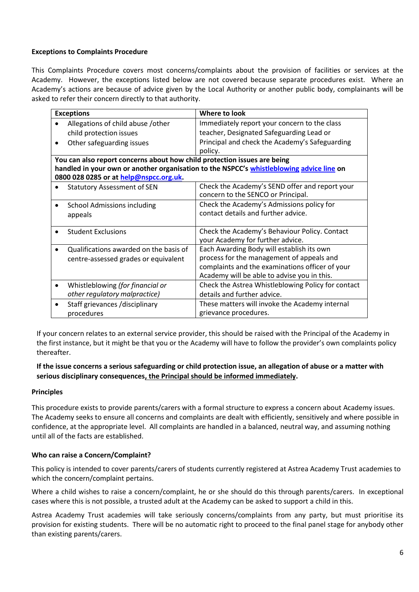#### <span id="page-5-0"></span>**Exceptions to Complaints Procedure**

This Complaints Procedure covers most concerns/complaints about the provision of facilities or services at the Academy. However, the exceptions listed below are not covered because separate procedures exist. Where an Academy's actions are because of advice given by the Local Authority or another public body, complainants will be asked to refer their concern directly to that authority.

| <b>Exceptions</b>                                                        | Where to look                                                                            |  |
|--------------------------------------------------------------------------|------------------------------------------------------------------------------------------|--|
| Allegations of child abuse /other                                        | Immediately report your concern to the class                                             |  |
| child protection issues                                                  | teacher, Designated Safeguarding Lead or                                                 |  |
| Other safeguarding issues                                                | Principal and check the Academy's Safeguarding                                           |  |
|                                                                          | policy.                                                                                  |  |
| You can also report concerns about how child protection issues are being |                                                                                          |  |
|                                                                          | handled in your own or another organisation to the NSPCC's whistleblowing advice line on |  |
| 0800 028 0285 or at help@nspcc.org.uk.                                   |                                                                                          |  |
| <b>Statutory Assessment of SEN</b>                                       | Check the Academy's SEND offer and report your                                           |  |
|                                                                          | concern to the SENCO or Principal.                                                       |  |
| <b>School Admissions including</b>                                       | Check the Academy's Admissions policy for                                                |  |
| appeals                                                                  | contact details and further advice.                                                      |  |
|                                                                          |                                                                                          |  |
| <b>Student Exclusions</b>                                                | Check the Academy's Behaviour Policy. Contact                                            |  |
|                                                                          | your Academy for further advice.                                                         |  |
| Qualifications awarded on the basis of                                   | Each Awarding Body will establish its own                                                |  |
| centre-assessed grades or equivalent                                     | process for the management of appeals and                                                |  |
|                                                                          | complaints and the examinations officer of your                                          |  |
|                                                                          | Academy will be able to advise you in this.                                              |  |
| Whistleblowing (for financial or                                         | Check the Astrea Whistleblowing Policy for contact                                       |  |
| other regulatory malpractice)                                            | details and further advice.                                                              |  |
| Staff grievances /disciplinary                                           | These matters will invoke the Academy internal                                           |  |
| procedures                                                               | grievance procedures.                                                                    |  |

If your concern relates to an external service provider, this should be raised with the Principal of the Academy in the first instance, but it might be that you or the Academy will have to follow the provider's own complaints policy thereafter.

#### **If the issue concerns a serious safeguarding or child protection issue, an allegation of abuse or a matter with serious disciplinary consequences, the Principal should be informed immediately.**

#### **Principles**

This procedure exists to provide parents/carers with a formal structure to express a concern about Academy issues. The Academy seeks to ensure all concerns and complaints are dealt with efficiently, sensitively and where possible in confidence, at the appropriate level. All complaints are handled in a balanced, neutral way, and assuming nothing until all of the facts are established.

#### <span id="page-5-1"></span>**Who can raise a Concern/Complaint?**

This policy is intended to cover parents/carers of students currently registered at Astrea Academy Trust academies to which the concern/complaint pertains.

Where a child wishes to raise a concern/complaint, he or she should do this through parents/carers. In exceptional cases where this is not possible, a trusted adult at the Academy can be asked to support a child in this.

Astrea Academy Trust academies will take seriously concerns/complaints from any party, but must prioritise its provision for existing students. There will be no automatic right to proceed to the final panel stage for anybody other than existing parents/carers.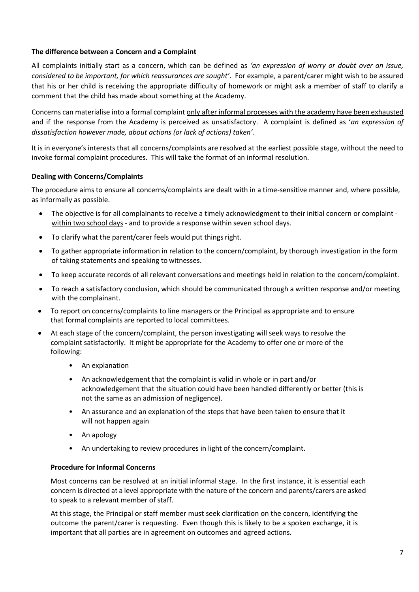#### <span id="page-6-0"></span>**The difference between a Concern and a Complaint**

All complaints initially start as a concern, which can be defined as *'an expression of worry or doubt over an issue, considered to be important, for which reassurances are sought'*. For example, a parent/carer might wish to be assured that his or her child is receiving the appropriate difficulty of homework or might ask a member of staff to clarify a comment that the child has made about something at the Academy.

Concerns can materialise into a formal complaint only after informal processes with the academy have been exhausted and if the response from the Academy is perceived as unsatisfactory. A complaint is defined as '*an expression of dissatisfaction however made, about actions (or lack of actions) taken'.*

It is in everyone's interests that all concerns/complaints are resolved at the earliest possible stage, without the need to invoke formal complaint procedures. This will take the format of an informal resolution.

#### <span id="page-6-1"></span>**Dealing with Concerns/Complaints**

The procedure aims to ensure all concerns/complaints are dealt with in a time-sensitive manner and, where possible, as informally as possible.

- The objective is for all complainants to receive a timely acknowledgment to their initial concern or complaint within two school days - and to provide a response within seven school days.
- To clarify what the parent/carer feels would put things right.
- To gather appropriate information in relation to the concern/complaint, by thorough investigation in the form of taking statements and speaking to witnesses.
- To keep accurate records of all relevant conversations and meetings held in relation to the concern/complaint.
- To reach a satisfactory conclusion, which should be communicated through a written response and/or meeting with the complainant.
- To report on concerns/complaints to line managers or the Principal as appropriate and to ensure that formal complaints are reported to local committees.
- At each stage of the concern/complaint, the person investigating will seek ways to resolve the complaint satisfactorily. It might be appropriate for the Academy to offer one or more of the following:
	- An explanation
	- An acknowledgement that the complaint is valid in whole or in part and/or acknowledgement that the situation could have been handled differently or better (this is not the same as an admission of negligence).
	- An assurance and an explanation of the steps that have been taken to ensure that it will not happen again
	- An apology
	- An undertaking to review procedures in light of the concern/complaint.

#### <span id="page-6-2"></span>**Procedure for Informal Concerns**

Most concerns can be resolved at an initial informal stage. In the first instance, it is essential each concern is directed at a level appropriate with the nature of the concern and parents/carers are asked to speak to a relevant member of staff.

At this stage, the Principal or staff member must seek clarification on the concern, identifying the outcome the parent/carer is requesting. Even though this is likely to be a spoken exchange, it is important that all parties are in agreement on outcomes and agreed actions.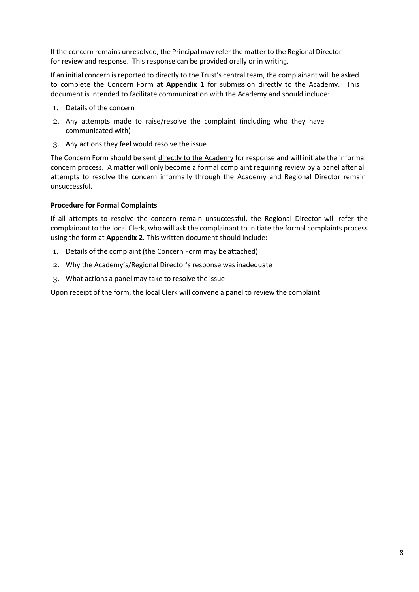If the concern remains unresolved, the Principal may refer the matter to the Regional Director for review and response. This response can be provided orally or in writing.

If an initial concern is reported to directly to the Trust's central team, the complainant will be asked to complete the Concern Form at **Appendix 1** for submission directly to the Academy. This document is intended to facilitate communication with the Academy and should include:

- 1. Details of the concern
- 2. Any attempts made to raise/resolve the complaint (including who they have communicated with)
- 3. Any actions they feel would resolve the issue

The Concern Form should be sent directly to the Academy for response and will initiate the informal concern process. A matter will only become a formal complaint requiring review by a panel after all attempts to resolve the concern informally through the Academy and Regional Director remain unsuccessful.

#### <span id="page-7-0"></span>**Procedure for Formal Complaints**

If all attempts to resolve the concern remain unsuccessful, the Regional Director will refer the complainant to the local Clerk, who will ask the complainant to initiate the formal complaints process using the form at **Appendix 2**. This written document should include:

- 1. Details of the complaint (the Concern Form may be attached)
- 2. Why the Academy's/Regional Director's response wasinadequate
- 3. What actions a panel may take to resolve the issue

Upon receipt of the form, the local Clerk will convene a panel to review the complaint.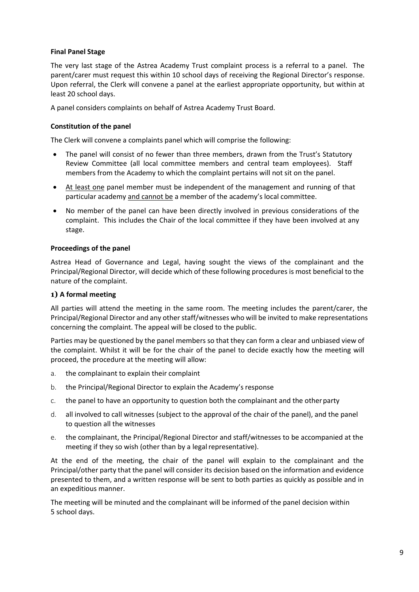#### <span id="page-8-0"></span>**Final Panel Stage**

The very last stage of the Astrea Academy Trust complaint process is a referral to a panel. The parent/carer must request this within 10 school days of receiving the Regional Director's response. Upon referral, the Clerk will convene a panel at the earliest appropriate opportunity, but within at least 20 school days.

A panel considers complaints on behalf of Astrea Academy Trust Board.

#### <span id="page-8-1"></span>**Constitution of the panel**

The Clerk will convene a complaints panel which will comprise the following:

- The panel will consist of no fewer than three members, drawn from the Trust's Statutory Review Committee (all local committee members and central team employees). Staff members from the Academy to which the complaint pertains will not sit on the panel.
- At least one panel member must be independent of the management and running of that particular academy and cannot be a member of the academy's local committee.
- No member of the panel can have been directly involved in previous considerations of the complaint. This includes the Chair of the local committee if they have been involved at any stage.

#### <span id="page-8-2"></span>**Proceedings of the panel**

Astrea Head of Governance and Legal, having sought the views of the complainant and the Principal/Regional Director, will decide which of these following procedures is most beneficial to the nature of the complaint.

#### **1) A formal meeting**

All parties will attend the meeting in the same room. The meeting includes the parent/carer, the Principal/Regional Director and any other staff/witnesses who will be invited to make representations concerning the complaint. The appeal will be closed to the public.

Parties may be questioned by the panel members so that they can form a clear and unbiased view of the complaint. Whilst it will be for the chair of the panel to decide exactly how the meeting will proceed, the procedure at the meeting will allow:

- a. the complainant to explain their complaint
- b. the Principal/Regional Director to explain the Academy's response
- c. the panel to have an opportunity to question both the complainant and the otherparty
- d. all involved to call witnesses (subject to the approval of the chair of the panel), and the panel to question all the witnesses
- e. the complainant, the Principal/Regional Director and staff/witnesses to be accompanied at the meeting if they so wish (other than by a legal representative).

At the end of the meeting, the chair of the panel will explain to the complainant and the Principal/other party that the panel will consider its decision based on the information and evidence presented to them, and a written response will be sent to both parties as quickly as possible and in an expeditious manner.

The meeting will be minuted and the complainant will be informed of the panel decision within 5 school days.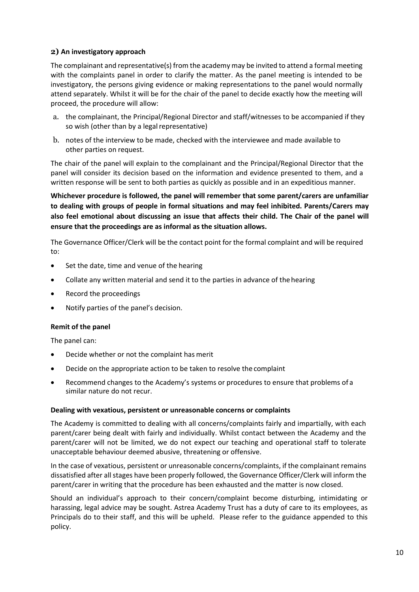#### **2) An investigatory approach**

The complainant and representative(s) from the academy may be invited to attend a formal meeting with the complaints panel in order to clarify the matter. As the panel meeting is intended to be investigatory, the persons giving evidence or making representations to the panel would normally attend separately. Whilst it will be for the chair of the panel to decide exactly how the meeting will proceed, the procedure will allow:

- a. the complainant, the Principal/Regional Director and staff/witnesses to be accompanied if they so wish (other than by a legal representative)
- b. notes of the interview to be made, checked with the interviewee and made available to other parties on request.

The chair of the panel will explain to the complainant and the Principal/Regional Director that the panel will consider its decision based on the information and evidence presented to them, and a written response will be sent to both parties as quickly as possible and in an expeditious manner.

**Whichever procedure is followed, the panel will remember that some parent/carers are unfamiliar to dealing with groups of people in formal situations and may feel inhibited. Parents/Carers may also feel emotional about discussing an issue that affects their child. The Chair of the panel will ensure that the proceedings are as informal as the situation allows.**

The Governance Officer/Clerk will be the contact point for the formal complaint and will be required to:

- Set the date, time and venue of the hearing
- Collate any written material and send it to the parties in advance of the hearing
- Record the proceedings
- Notify parties of the panel's decision.

#### <span id="page-9-0"></span>**Remit of the panel**

The panel can:

- Decide whether or not the complaint has merit
- Decide on the appropriate action to be taken to resolve the complaint
- Recommend changes to the Academy's systems or procedures to ensure that problems of a similar nature do not recur.

#### <span id="page-9-1"></span>**Dealing with vexatious, persistent or unreasonable concerns or complaints**

The Academy is committed to dealing with all concerns/complaints fairly and impartially, with each parent/carer being dealt with fairly and individually. Whilst contact between the Academy and the parent/carer will not be limited, we do not expect our teaching and operational staff to tolerate unacceptable behaviour deemed abusive, threatening or offensive.

In the case of vexatious, persistent or unreasonable concerns/complaints, if the complainant remains dissatisfied after all stages have been properly followed, the Governance Officer/Clerk will inform the parent/carer in writing that the procedure has been exhausted and the matter is now closed.

Should an individual's approach to their concern/complaint become disturbing, intimidating or harassing, legal advice may be sought. Astrea Academy Trust has a duty of care to its employees, as Principals do to their staff, and this will be upheld. Please refer to the guidance appended to this policy.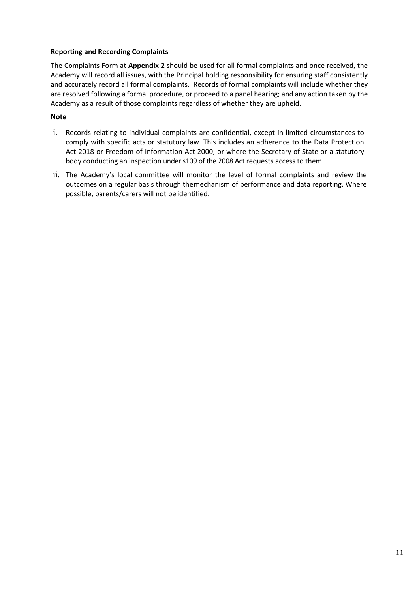#### <span id="page-10-0"></span>**Reporting and Recording Complaints**

The Complaints Form at **Appendix 2** should be used for all formal complaints and once received, the Academy will record all issues, with the Principal holding responsibility for ensuring staff consistently and accurately record all formal complaints. Records of formal complaints will include whether they are resolved following a formal procedure, or proceed to a panel hearing; and any action taken by the Academy as a result of those complaints regardless of whether they are upheld.

#### **Note**

- i. Records relating to individual complaints are confidential, except in limited circumstances to comply with specific acts or statutory law. This includes an adherence to the Data Protection Act 2018 or Freedom of Information Act 2000, or where the Secretary of State or a statutory body conducting an inspection under s109 of the 2008 Act requests access to them.
- ii. The Academy's local committee will monitor the level of formal complaints and review the outcomes on a regular basis through themechanism of performance and data reporting. Where possible, parents/carers will not be identified.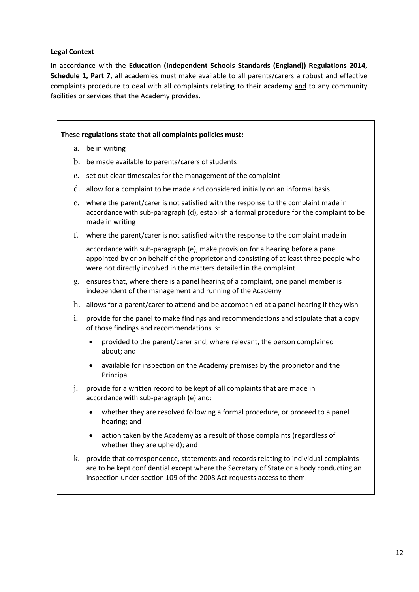#### <span id="page-11-0"></span>**Legal Context**

In accordance with the **Education (Independent Schools Standards (England)) Regulations 2014, Schedule 1, Part 7**, all academies must make available to all parents/carers a robust and effective complaints procedure to deal with all complaints relating to their academy and to any community facilities or services that the Academy provides.

#### **These regulations state that all complaints policies must:**

- a. be in writing
- b. be made available to parents/carers of students
- c. set out clear timescales for the management of the complaint
- d. allow for a complaint to be made and considered initially on an informal basis
- e. where the parent/carer is not satisfied with the response to the complaint made in accordance with sub-paragraph (d), establish a formal procedure for the complaint to be made in writing
- f. where the parent/carer is not satisfied with the response to the complaint made in

accordance with sub-paragraph (e), make provision for a hearing before a panel appointed by or on behalf of the proprietor and consisting of at least three people who were not directly involved in the matters detailed in the complaint

- g. ensures that, where there is a panel hearing of a complaint, one panel member is independent of the management and running of the Academy
- h. allows for a parent/carer to attend and be accompanied at a panel hearing if they wish
- i. provide for the panel to make findings and recommendations and stipulate that a copy of those findings and recommendations is:
	- provided to the parent/carer and, where relevant, the person complained about; and
	- available for inspection on the Academy premises by the proprietor and the Principal
- j. provide for a written record to be kept of all complaints that are made in accordance with sub-paragraph (e) and:
	- whether they are resolved following a formal procedure, or proceed to a panel hearing; and
	- action taken by the Academy as a result of those complaints (regardless of whether they are upheld); and
- k. provide that correspondence, statements and records relating to individual complaints are to be kept confidential except where the Secretary of State or a body conducting an inspection under section 109 of the 2008 Act requests access to them.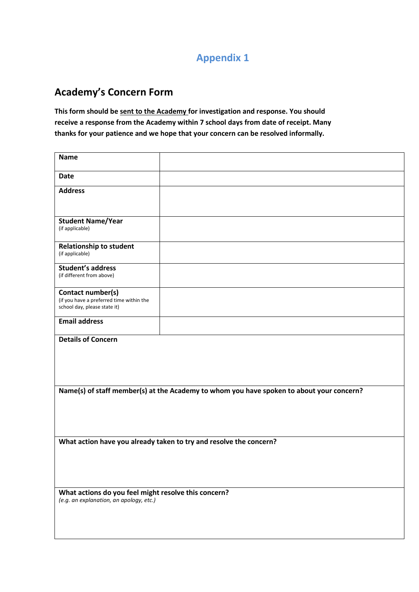## **Appendix 1**

# **Academy's Concern Form**

**This form should be sent to the Academy for investigation and response. You should receive a response from the Academy within 7 school days from date of receipt. Many thanks for your patience and we hope that your concern can be resolved informally.**

| <b>Name</b>                                                                                     |  |  |
|-------------------------------------------------------------------------------------------------|--|--|
| <b>Date</b>                                                                                     |  |  |
| <b>Address</b>                                                                                  |  |  |
| <b>Student Name/Year</b><br>(if applicable)                                                     |  |  |
| <b>Relationship to student</b><br>(if applicable)                                               |  |  |
| <b>Student's address</b><br>(if different from above)                                           |  |  |
| Contact number(s)<br>(if you have a preferred time within the<br>school day, please state it)   |  |  |
| <b>Email address</b>                                                                            |  |  |
| <b>Details of Concern</b>                                                                       |  |  |
| Name(s) of staff member(s) at the Academy to whom you have spoken to about your concern?        |  |  |
| What action have you already taken to try and resolve the concern?                              |  |  |
| What actions do you feel might resolve this concern?<br>(e.g. an explanation, an apology, etc.) |  |  |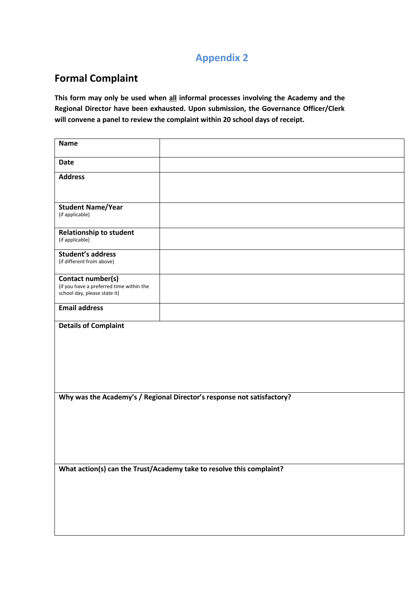### **Appendix 2**

# **Formal Complaint**

**This form may only be used when all informal processes involving the Academy and the Regional Director have been exhausted. Upon submission, the Governance Officer/Clerk will convene a panel to review the complaint within 20 school days of receipt.**

| <b>Name</b>                                                                                   |  |  |
|-----------------------------------------------------------------------------------------------|--|--|
| <b>Date</b>                                                                                   |  |  |
| <b>Address</b>                                                                                |  |  |
| <b>Student Name/Year</b><br>(if applicable)                                                   |  |  |
| <b>Relationship to student</b><br>(if applicable)                                             |  |  |
| <b>Student's address</b><br>(if different from above)                                         |  |  |
| Contact number(s)<br>(if you have a preferred time within the<br>school day, please state it) |  |  |
| <b>Email address</b>                                                                          |  |  |
| <b>Details of Complaint</b>                                                                   |  |  |
| Why was the Academy's / Regional Director's response not satisfactory?                        |  |  |
| What action(s) can the Trust/Academy take to resolve this complaint?                          |  |  |